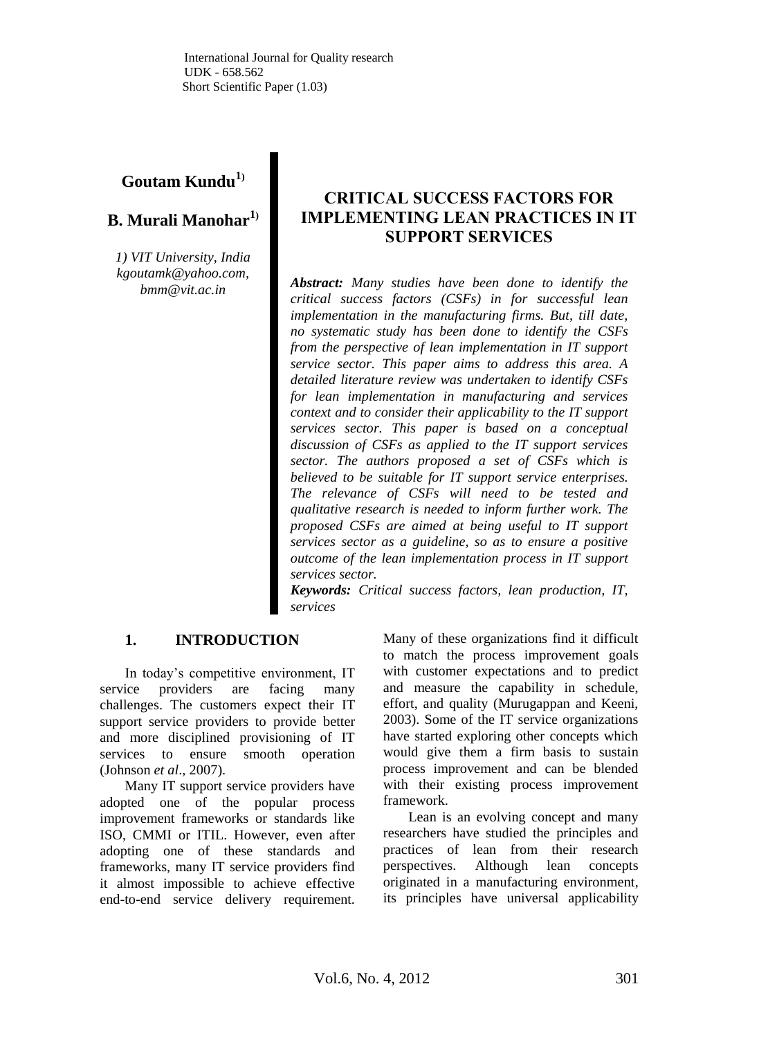# **Goutam Kundu<sup>1</sup>)**

## **B. Murali Manohar<sup>1</sup>)**

*1) VIT University, India kgoutamk@yahoo.com, bmm@vit.ac.in*

## **CRITICAL SUCCESS FACTORS FOR IMPLEMENTING LEAN PRACTICES IN IT SUPPORT SERVICES**

*Abstract: Many studies have been done to identify the critical success factors (CSFs) in for successful lean implementation in the manufacturing firms. But, till date, no systematic study has been done to identify the CSFs from the perspective of lean implementation in IT support service sector. This paper aims to address this area. A detailed literature review was undertaken to identify CSFs for lean implementation in manufacturing and services context and to consider their applicability to the IT support services sector. This paper is based on a conceptual discussion of CSFs as applied to the IT support services sector. The authors proposed a set of CSFs which is believed to be suitable for IT support service enterprises. The relevance of CSFs will need to be tested and qualitative research is needed to inform further work. The proposed CSFs are aimed at being useful to IT support services sector as a guideline, so as to ensure a positive outcome of the lean implementation process in IT support services sector.*

*Keywords: Critical success factors, lean production, IT, services*

## **1. INTRODUCTION**

In today's competitive environment, IT service providers are facing many challenges. The customers expect their IT support service providers to provide better and more disciplined provisioning of IT services to ensure smooth operation (Johnson *et al*., 2007).

Many IT support service providers have adopted one of the popular process improvement frameworks or standards like ISO, CMMI or ITIL. However, even after adopting one of these standards and frameworks, many IT service providers find it almost impossible to achieve effective end-to-end service delivery requirement.

Many of these organizations find it difficult to match the process improvement goals with customer expectations and to predict and measure the capability in schedule, effort, and quality (Murugappan and Keeni, 2003). Some of the IT service organizations have started exploring other concepts which would give them a firm basis to sustain process improvement and can be blended with their existing process improvement framework.

Lean is an evolving concept and many researchers have studied the principles and practices of lean from their research perspectives. Although lean concepts originated in a manufacturing environment, its principles have universal applicability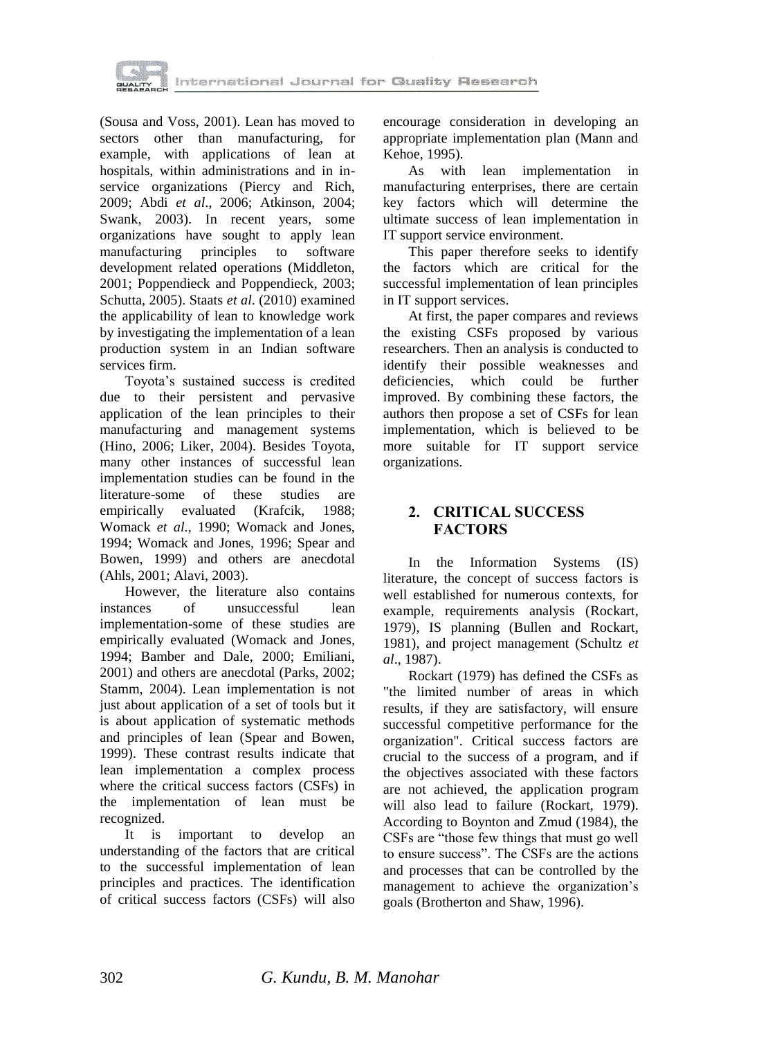

(Sousa and Voss, 2001). Lean has moved to sectors other than manufacturing, for example, with applications of lean at hospitals, within administrations and in inservice organizations (Piercy and Rich, 2009; Abdi *et al*., 2006; Atkinson, 2004; Swank, 2003). In recent years, some organizations have sought to apply lean manufacturing principles to software development related operations (Middleton, 2001; Poppendieck and Poppendieck, 2003; Schutta, 2005). Staats *et al*. (2010) examined the applicability of lean to knowledge work by investigating the implementation of a lean production system in an Indian software services firm.

Toyota's sustained success is credited due to their persistent and pervasive application of the lean principles to their manufacturing and management systems (Hino, 2006; Liker, 2004). Besides Toyota, many other instances of successful lean implementation studies can be found in the literature-some of these studies are empirically evaluated (Krafcik, 1988; Womack *et al*., 1990; Womack and Jones, 1994; Womack and Jones, 1996; Spear and Bowen, 1999) and others are anecdotal (Ahls, 2001; Alavi, 2003).

However, the literature also contains instances of unsuccessful lean implementation-some of these studies are empirically evaluated (Womack and Jones, 1994; Bamber and Dale, 2000; Emiliani, 2001) and others are anecdotal (Parks, 2002; Stamm, 2004). Lean implementation is not just about application of a set of tools but it is about application of systematic methods and principles of lean (Spear and Bowen, 1999). These contrast results indicate that lean implementation a complex process where the critical success factors (CSFs) in the implementation of lean must be recognized.

It is important to develop an understanding of the factors that are critical to the successful implementation of lean principles and practices. The identification of critical success factors (CSFs) will also

encourage consideration in developing an appropriate implementation plan (Mann and Kehoe, 1995).

As with lean implementation in manufacturing enterprises, there are certain key factors which will determine the ultimate success of lean implementation in IT support service environment.

This paper therefore seeks to identify the factors which are critical for the successful implementation of lean principles in IT support services.

At first, the paper compares and reviews the existing CSFs proposed by various researchers. Then an analysis is conducted to identify their possible weaknesses and deficiencies, which could be further improved. By combining these factors, the authors then propose a set of CSFs for lean implementation, which is believed to be more suitable for IT support service organizations.

### **2. CRITICAL SUCCESS FACTORS**

In the Information Systems (IS) literature, the concept of success factors is well established for numerous contexts, for example, requirements analysis [\(Rockart,](http://www.emeraldinsight.com/journals.htm?articleid=843563&show=html#idb23#idb23)  [1979\)](http://www.emeraldinsight.com/journals.htm?articleid=843563&show=html#idb23#idb23), IS planning [\(Bullen and Rockart,](http://www.emeraldinsight.com/journals.htm?articleid=843563&show=html#idb7#idb7)  [1981\)](http://www.emeraldinsight.com/journals.htm?articleid=843563&show=html#idb7#idb7), and project management [\(Schultz](http://www.emeraldinsight.com/journals.htm?articleid=843563&show=html#idb25#idb25) *et al*[., 1987\)](http://www.emeraldinsight.com/journals.htm?articleid=843563&show=html#idb25#idb25).

Rockart (1979) has defined the CSFs as "the limited number of areas in which results, if they are satisfactory, will ensure successful competitive performance for the organization". Critical success factors are crucial to the success of a program, and if the objectives associated with these factors are not achieved, the application program will also lead to failure (Rockart, 1979). According to Boynton and Zmud (1984), the CSFs are "those few things that must go well to ensure success". The CSFs are the actions and processes that can be controlled by the management to achieve the organization's goals (Brotherton and Shaw, 1996).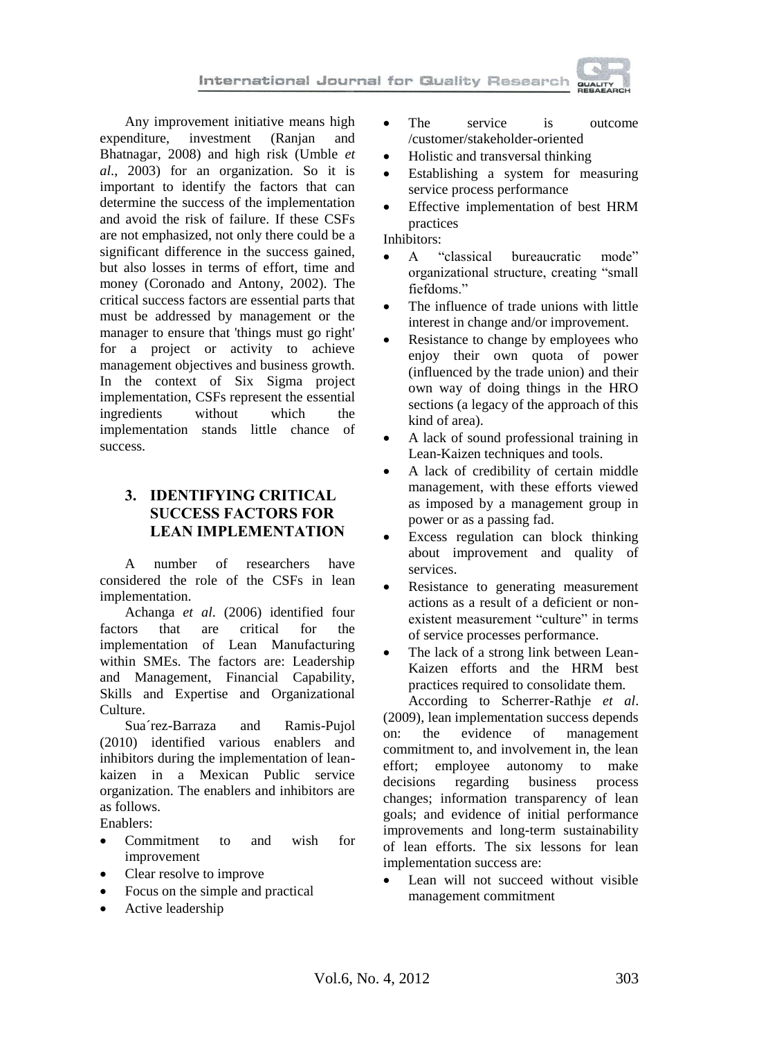

Any improvement initiative means high expenditure, investment (Ranjan and Bhatnagar, 2008) and high risk (Umble *et al*., 2003) for an organization. So it is important to identify the factors that can determine the success of the implementation and avoid the risk of failure. If these CSFs are not emphasized, not only there could be a significant difference in the success gained, but also losses in terms of effort, time and money (Coronado and Antony, 2002). The critical success factors are essential parts that must be addressed by management or the manager to ensure that 'things must go right' for a project or activity to achieve management objectives and business growth. In the context of Six Sigma project implementation, CSFs represent the essential ingredients without which the implementation stands little chance of success.

### **3. IDENTIFYING CRITICAL SUCCESS FACTORS FOR LEAN IMPLEMENTATION**

A number of researchers have considered the role of the CSFs in lean implementation.

Achanga *et al*. (2006) identified four factors that are critical for the implementation of Lean Manufacturing within SMEs. The factors are: Leadership and Management, Financial Capability, Skills and Expertise and Organizational Culture.

Sua´rez-Barraza and Ramis-Pujol (2010) identified various enablers and inhibitors during the implementation of leankaizen in a Mexican Public service organization. The enablers and inhibitors are as follows.

Enablers:

- Commitment to and wish for improvement
- Clear resolve to improve
- Focus on the simple and practical
- Active leadership
- The service is outcome /customer/stakeholder-oriented
- Holistic and transversal thinking
- Establishing a system for measuring service process performance
- Effective implementation of best HRM practices

Inhibitors:

- A "classical bureaucratic mode" organizational structure, creating "small fiefdoms."
- The influence of trade unions with little interest in change and/or improvement.
- Resistance to change by employees who enjoy their own quota of power (influenced by the trade union) and their own way of doing things in the HRO sections (a legacy of the approach of this kind of area).
- A lack of sound professional training in Lean-Kaizen techniques and tools.
- A lack of credibility of certain middle management, with these efforts viewed as imposed by a management group in power or as a passing fad.
- Excess regulation can block thinking about improvement and quality of services.
- Resistance to generating measurement actions as a result of a deficient or nonexistent measurement "culture" in terms of service processes performance.
- The lack of a strong link between Lean-Kaizen efforts and the HRM best practices required to consolidate them.

According to Scherrer-Rathje *et al*. (2009), lean implementation success depends on: the evidence of management commitment to, and involvement in, the lean effort; employee autonomy to make decisions regarding business process changes; information transparency of lean goals; and evidence of initial performance improvements and long-term sustainability of lean efforts. The six lessons for lean implementation success are:

 Lean will not succeed without visible management commitment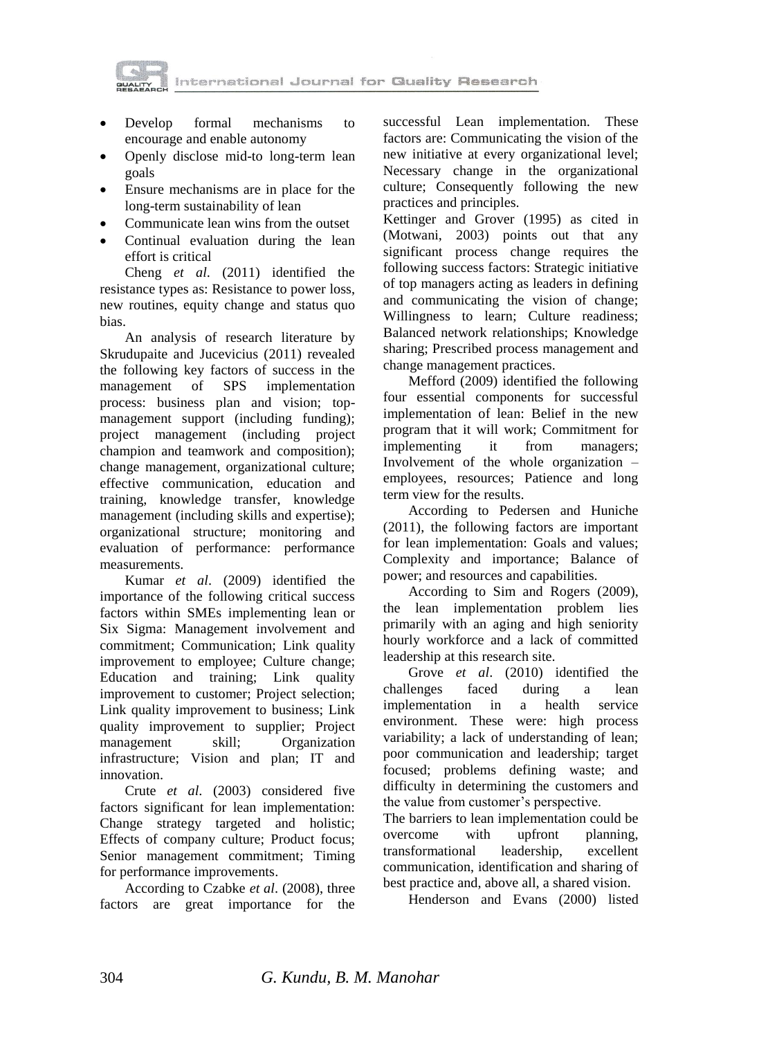



- Develop formal mechanisms to encourage and enable autonomy
- Openly disclose mid-to long-term lean goals
- Ensure mechanisms are in place for the long-term sustainability of lean
- Communicate lean wins from the outset
- Continual evaluation during the lean effort is critical

Cheng *et al*. (2011) identified the resistance types as: Resistance to power loss, new routines, equity change and status quo bias.

An analysis of research literature by Skrudupaite and Jucevicius (2011) revealed the following key factors of success in the management of SPS implementation process: business plan and vision; topmanagement support (including funding); project management (including project champion and teamwork and composition); change management, organizational culture; effective communication, education and training, knowledge transfer, knowledge management (including skills and expertise); organizational structure; monitoring and evaluation of performance: performance measurements.

Kumar *et al*. (2009) identified the importance of the following critical success factors within SMEs implementing lean or Six Sigma: Management involvement and commitment; Communication; Link quality improvement to employee; Culture change; Education and training; Link quality improvement to customer; Project selection; Link quality improvement to business; Link quality improvement to supplier; Project management skill; Organization infrastructure; Vision and plan; IT and innovation.

Crute *et al*. (2003) considered five factors significant for lean implementation: Change strategy targeted and holistic; Effects of company culture; Product focus; Senior management commitment; Timing for performance improvements.

According to Czabke *et al*. (2008), three factors are great importance for the

successful Lean implementation. These factors are: Communicating the vision of the new initiative at every organizational level; Necessary change in the organizational culture; Consequently following the new practices and principles.

Kettinger and Grover (1995) as cited in (Motwani, 2003) points out that any significant process change requires the following success factors: Strategic initiative of top managers acting as leaders in defining and communicating the vision of change; Willingness to learn; Culture readiness; Balanced network relationships; Knowledge sharing; Prescribed process management and change management practices.

Mefford (2009) identified the following four essential components for successful implementation of lean: Belief in the new program that it will work; Commitment for implementing it from managers; Involvement of the whole organization – employees, resources; Patience and long term view for the results.

According to Pedersen and Huniche (2011), the following factors are important for lean implementation: Goals and values; Complexity and importance; Balance of power; and resources and capabilities.

According to Sim and Rogers (2009), the lean implementation problem lies primarily with an aging and high seniority hourly workforce and a lack of committed leadership at this research site.

Grove *et al*. (2010) identified the challenges faced during a lean implementation in a health service environment. These were: high process variability; a lack of understanding of lean; poor communication and leadership; target focused; problems defining waste; and difficulty in determining the customers and the value from customer's perspective.

The barriers to lean implementation could be overcome with upfront planning, transformational leadership, excellent communication, identification and sharing of best practice and, above all, a shared vision.

Henderson and Evans (2000) listed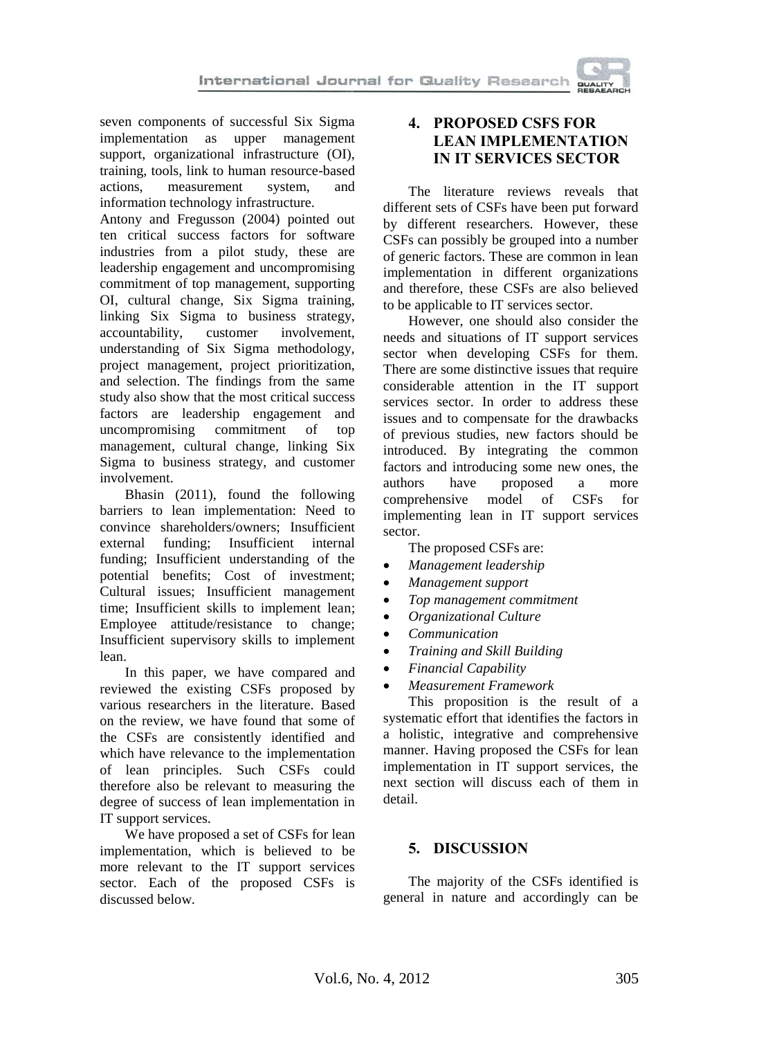seven components of successful Six Sigma implementation as upper management support, organizational infrastructure (OI), training, tools, link to human resource-based actions, measurement system, and information technology infrastructure.

Antony and Fregusson (2004) pointed out ten critical success factors for software industries from a pilot study, these are leadership engagement and uncompromising commitment of top management, supporting OI, cultural change, Six Sigma training, linking Six Sigma to business strategy, accountability, customer involvement, understanding of Six Sigma methodology, project management, project prioritization, and selection. The findings from the same study also show that the most critical success factors are leadership engagement and uncompromising commitment of top management, cultural change, linking Six Sigma to business strategy, and customer involvement.

Bhasin (2011), found the following barriers to lean implementation: Need to convince shareholders/owners; Insufficient external funding; Insufficient internal funding; Insufficient understanding of the potential benefits; Cost of investment; Cultural issues; Insufficient management time; Insufficient skills to implement lean; Employee attitude/resistance to change; Insufficient supervisory skills to implement lean.

In this paper, we have compared and reviewed the existing CSFs proposed by various researchers in the literature. Based on the review, we have found that some of the CSFs are consistently identified and which have relevance to the implementation of lean principles. Such CSFs could therefore also be relevant to measuring the degree of success of lean implementation in IT support services.

We have proposed a set of CSFs for lean implementation, which is believed to be more relevant to the IT support services sector. Each of the proposed CSFs is discussed below.

## **4. PROPOSED CSFS FOR LEAN IMPLEMENTATION IN IT SERVICES SECTOR**

The literature reviews reveals that different sets of CSFs have been put forward by different researchers. However, these CSFs can possibly be grouped into a number of generic factors. These are common in lean implementation in different organizations and therefore, these CSFs are also believed to be applicable to IT services sector.

However, one should also consider the needs and situations of IT support services sector when developing CSFs for them. There are some distinctive issues that require considerable attention in the IT support services sector. In order to address these issues and to compensate for the drawbacks of previous studies, new factors should be introduced. By integrating the common factors and introducing some new ones, the authors have proposed a more<br>comprehensive model of CSFs for comprehensive model of CSFs for implementing lean in IT support services sector.

The proposed CSFs are:

- *Management leadership*
- *Management support*
- *Top management commitment*
- *Organizational Culture*
- *Communication*
- *Training and Skill Building*
- *Financial Capability*
- *Measurement Framework*

This proposition is the result of a systematic effort that identifies the factors in a holistic, integrative and comprehensive manner. Having proposed the CSFs for lean implementation in IT support services, the next section will discuss each of them in detail.

## **5. DISCUSSION**

The majority of the CSFs identified is general in nature and accordingly can be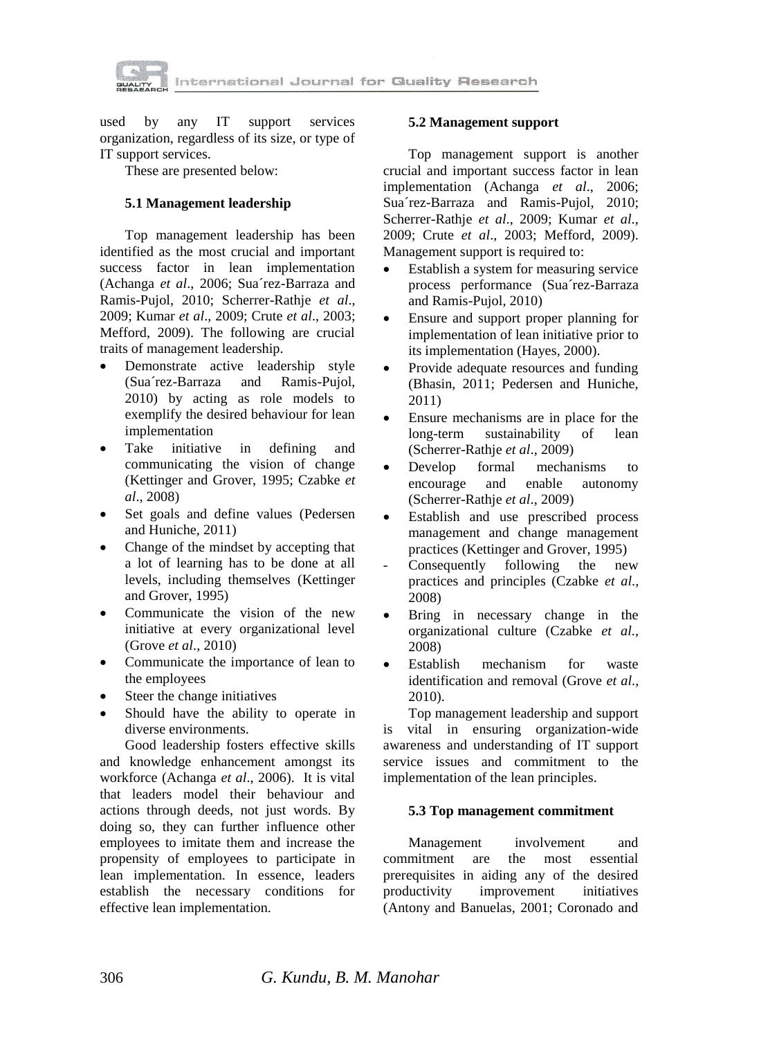

used by any IT support services organization, regardless of its size, or type of IT support services.

These are presented below:

#### **5.1 Management leadership**

Top management leadership has been identified as the most crucial and important success factor in lean implementation (Achanga *et al*., 2006; Sua´rez-Barraza and Ramis-Pujol, 2010; Scherrer-Rathje *et al*., 2009; Kumar *et al*., 2009; Crute *et al*., 2003; Mefford, 2009). The following are crucial traits of management leadership.

- Demonstrate active leadership style (Sua´rez-Barraza and Ramis-Pujol, 2010) by acting as role models to exemplify the desired behaviour for lean implementation
- Take initiative in defining and communicating the vision of change (Kettinger and Grover, 1995; Czabke *et al*., 2008)
- Set goals and define values (Pedersen and Huniche, 2011)
- Change of the mindset by accepting that a lot of learning has to be done at all levels, including themselves (Kettinger and Grover, 1995)
- Communicate the vision of the new initiative at every organizational level (Grove *et al*., 2010)
- Communicate the importance of lean to the employees
- Steer the change initiatives
- Should have the ability to operate in diverse environments.

Good leadership fosters effective skills and knowledge enhancement amongst its workforce (Achanga *et al*., 2006). It is vital that leaders model their behaviour and actions through deeds, not just words. By doing so, they can further influence other employees to imitate them and increase the propensity of employees to participate in lean implementation. In essence, leaders establish the necessary conditions for effective lean implementation.

#### **5.2 Management support**

Top management support is another crucial and important success factor in lean implementation (Achanga *et al*., 2006; Sua´rez-Barraza and Ramis-Pujol, 2010; Scherrer-Rathje *et al*., 2009; Kumar *et al*., 2009; Crute *et al*., 2003; Mefford, 2009). Management support is required to:

- Establish a system for measuring service process performance (Sua´rez-Barraza and Ramis-Pujol, 2010)
- Ensure and support proper planning for implementation of lean initiative prior to its implementation (Hayes, 2000).
- Provide adequate resources and funding (Bhasin, 2011; Pedersen and Huniche, 2011)
- Ensure mechanisms are in place for the long-term sustainability of lean (Scherrer-Rathje *et al*., 2009)
- Develop formal mechanisms to encourage and enable autonomy (Scherrer-Rathje *et al*., 2009)
- Establish and use prescribed process management and change management practices (Kettinger and Grover, 1995)
- Consequently following the new practices and principles (Czabke *et al*., 2008)
- Bring in necessary change in the organizational culture (Czabke *et al*., 2008)
- Establish mechanism for waste identification and removal (Grove *et al*., 2010).

Top management leadership and support is vital in ensuring organization-wide awareness and understanding of IT support service issues and commitment to the implementation of the lean principles.

#### **5.3 Top management commitment**

Management involvement and commitment are the most essential prerequisites in aiding any of the desired productivity improvement initiatives (Antony and Banuelas, 2001; Coronado and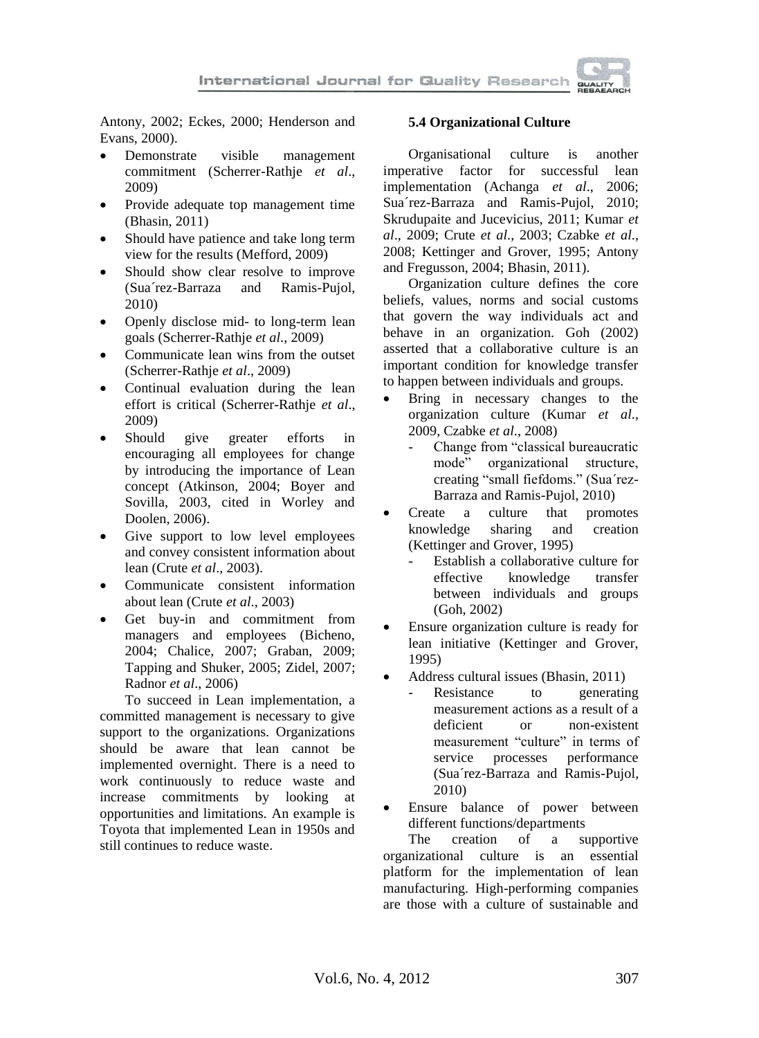

Antony, 2002; Eckes, 2000; Henderson and Evans, 2000).

- Demonstrate visible management commitment (Scherrer-Rathje *et al*., 2009)
- Provide adequate top management time (Bhasin, 2011)
- Should have patience and take long term view for the results (Mefford, 2009)
- Should show clear resolve to improve (Sua´rez-Barraza and Ramis-Pujol, 2010)
- Openly disclose mid- to long-term lean goals (Scherrer-Rathje *et al*., 2009)
- Communicate lean wins from the outset (Scherrer-Rathje *et al*., 2009)
- Continual evaluation during the lean effort is critical (Scherrer-Rathje *et al*., 2009)
- Should give greater efforts in encouraging all employees for change by introducing the importance of Lean concept (Atkinson, 2004; Boyer and Sovilla, 2003, cited in Worley and Doolen, 2006).
- Give support to low level employees and convey consistent information about lean (Crute *et al*., 2003).
- Communicate consistent information about lean (Crute *et al*., 2003)
- Get buy-in and commitment from managers and employees (Bicheno, 2004; Chalice, 2007; Graban, 2009; Tapping and Shuker, 2005; Zidel, 2007; Radnor *et al*., 2006)

To succeed in Lean implementation, a committed management is necessary to give support to the organizations. Organizations should be aware that lean cannot be implemented overnight. There is a need to work continuously to reduce waste and increase commitments by looking at opportunities and limitations. An example is Toyota that implemented Lean in 1950s and still continues to reduce waste.

### **5.4 Organizational Culture**

Organisational culture is another imperative factor for successful lean implementation (Achanga *et al*., 2006; Sua´rez-Barraza and Ramis-Pujol, 2010; Skrudupaite and Jucevicius, 2011; Kumar *et al*., 2009; Crute *et al*., 2003; Czabke *et al*., 2008; Kettinger and Grover, 1995; Antony and Fregusson, 2004; Bhasin, 2011).

Organization culture defines the core beliefs, values, norms and social customs that govern the way individuals act and behave in an organization. Goh (2002) asserted that a collaborative culture is an important condition for knowledge transfer to happen between individuals and groups.

- Bring in necessary changes to the organization culture (Kumar *et al*., 2009, Czabke *et al*., 2008)
	- Change from "classical bureaucratic mode" organizational structure, creating "small fiefdoms." (Sua´rez-Barraza and Ramis-Pujol, 2010)
- Create a culture that promotes knowledge sharing and creation (Kettinger and Grover, 1995)
	- Establish a collaborative culture for effective knowledge transfer between individuals and groups (Goh, 2002)
- Ensure organization culture is ready for lean initiative (Kettinger and Grover, 1995)
- Address cultural issues (Bhasin, 2011)
	- Resistance to generating measurement actions as a result of a deficient or non-existent measurement "culture" in terms of service processes performance (Sua´rez-Barraza and Ramis-Pujol, 2010)
- Ensure balance of power between different functions/departments<br>The creation of a sub-

The creation of a supportive organizational culture is an essential platform for the implementation of lean manufacturing. High-performing companies are those with a culture of sustainable and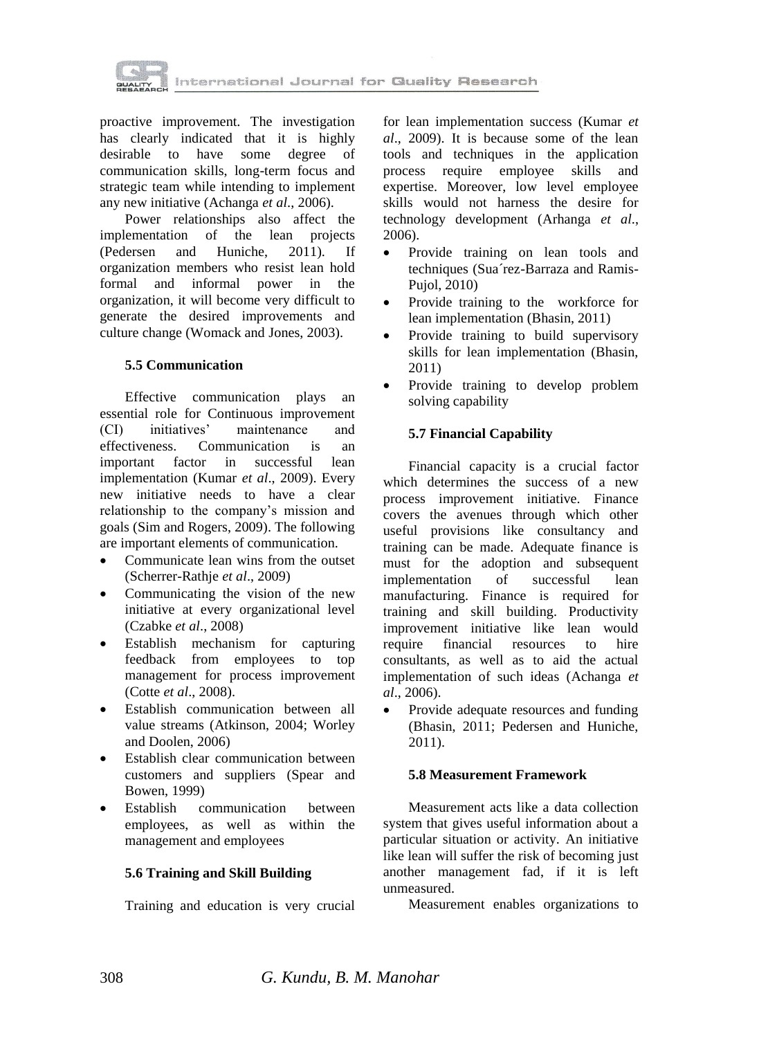

proactive improvement. The investigation has clearly indicated that it is highly desirable to have some degree of communication skills, long-term focus and strategic team while intending to implement any new initiative (Achanga *et al*., 2006).

Power relationships also affect the implementation of the lean projects (Pedersen and Huniche, 2011). If organization members who resist lean hold formal and informal power in the organization, it will become very difficult to generate the desired improvements and culture change (Womack and Jones, 2003).

#### **5.5 Communication**

Effective communication plays an essential role for Continuous improvement (CI) initiatives' maintenance and effectiveness. Communication is an important factor in successful lean implementation (Kumar *et al*., 2009). Every new initiative needs to have a clear relationship to the company's mission and goals (Sim and Rogers, 2009). The following are important elements of communication.

- Communicate lean wins from the outset (Scherrer-Rathje *et al*., 2009)
- Communicating the vision of the new initiative at every organizational level (Czabke *et al*., 2008)
- Establish mechanism for capturing feedback from employees to top management for process improvement (Cotte *et al*., 2008).
- Establish communication between all value streams (Atkinson, 2004; Worley and Doolen, 2006)
- Establish clear communication between customers and suppliers (Spear and Bowen, 1999)
- Establish communication between employees, as well as within the management and employees

#### **5.6 Training and Skill Building**

Training and education is very crucial

for lean implementation success (Kumar *et al*., 2009). It is because some of the lean tools and techniques in the application process require employee skills and expertise. Moreover, low level employee skills would not harness the desire for technology development (Arhanga *et al*., 2006).

- Provide training on lean tools and techniques (Sua´rez-Barraza and Ramis-Pujol, 2010)
- Provide training to the workforce for lean implementation (Bhasin, 2011)
- Provide training to build supervisory skills for lean implementation (Bhasin, 2011)
- Provide training to develop problem solving capability

#### **5.7 Financial Capability**

Financial capacity is a crucial factor which determines the success of a new process improvement initiative. Finance covers the avenues through which other useful provisions like consultancy and training can be made. Adequate finance is must for the adoption and subsequent implementation of successful lean manufacturing. Finance is required for training and skill building. Productivity improvement initiative like lean would require financial resources to hire consultants, as well as to aid the actual implementation of such ideas (Achanga *et al*., 2006).

• Provide adequate resources and funding (Bhasin, 2011; Pedersen and Huniche, 2011).

#### **5.8 Measurement Framework**

Measurement acts like a data collection system that gives useful information about a particular situation or activity. An initiative like lean will suffer the risk of becoming just another management fad, if it is left unmeasured.

Measurement enables organizations to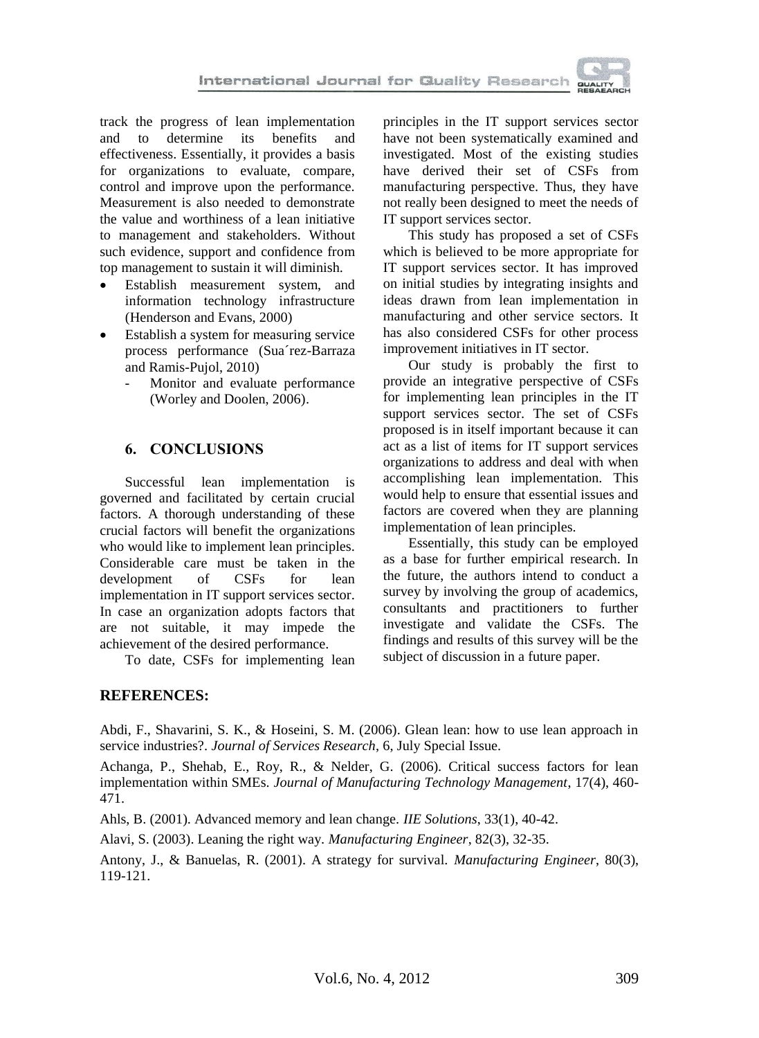

track the progress of lean implementation and to determine its benefits and effectiveness. Essentially, it provides a basis for organizations to evaluate, compare, control and improve upon the performance. Measurement is also needed to demonstrate the value and worthiness of a lean initiative to management and stakeholders. Without such evidence, support and confidence from top management to sustain it will diminish.

- Establish measurement system, and information technology infrastructure (Henderson and Evans, 2000)
- Establish a system for measuring service process performance (Sua´rez-Barraza and Ramis-Pujol, 2010)
	- Monitor and evaluate performance (Worley and Doolen, 2006).

## **6. CONCLUSIONS**

Successful lean implementation is governed and facilitated by certain crucial factors. A thorough understanding of these crucial factors will benefit the organizations who would like to implement lean principles. Considerable care must be taken in the development of CSFs for lean implementation in IT support services sector. In case an organization adopts factors that are not suitable, it may impede the achievement of the desired performance.

To date, CSFs for implementing lean

## **REFERENCES:**

principles in the IT support services sector have not been systematically examined and investigated. Most of the existing studies have derived their set of CSFs from manufacturing perspective. Thus, they have not really been designed to meet the needs of IT support services sector.

This study has proposed a set of CSFs which is believed to be more appropriate for IT support services sector. It has improved on initial studies by integrating insights and ideas drawn from lean implementation in manufacturing and other service sectors. It has also considered CSFs for other process improvement initiatives in IT sector.

Our study is probably the first to provide an integrative perspective of CSFs for implementing lean principles in the IT support services sector. The set of CSFs proposed is in itself important because it can act as a list of items for IT support services organizations to address and deal with when accomplishing lean implementation. This would help to ensure that essential issues and factors are covered when they are planning implementation of lean principles.

Essentially, this study can be employed as a base for further empirical research. In the future, the authors intend to conduct a survey by involving the group of academics, consultants and practitioners to further investigate and validate the CSFs. The findings and results of this survey will be the subject of discussion in a future paper.

Abdi, F., Shavarini, S. K., & Hoseini, S. M. (2006). Glean lean: how to use lean approach in service industries?. *Journal of Services Research*, 6, July Special Issue.

Achanga, P., Shehab, E., Roy, R., & Nelder, G. (2006). Critical success factors for lean implementation within SMEs. *Journal of Manufacturing Technology Management*, 17(4), 460- 471.

Ahls, B. (2001). Advanced memory and lean change. *IIE Solutions*, 33(1), 40-42.

Alavi, S. (2003). Leaning the right way. *Manufacturing Engineer*, 82(3), 32-35.

Antony, J., & Banuelas, R. (2001). A strategy for survival. *Manufacturing Engineer*, 80(3), 119-121.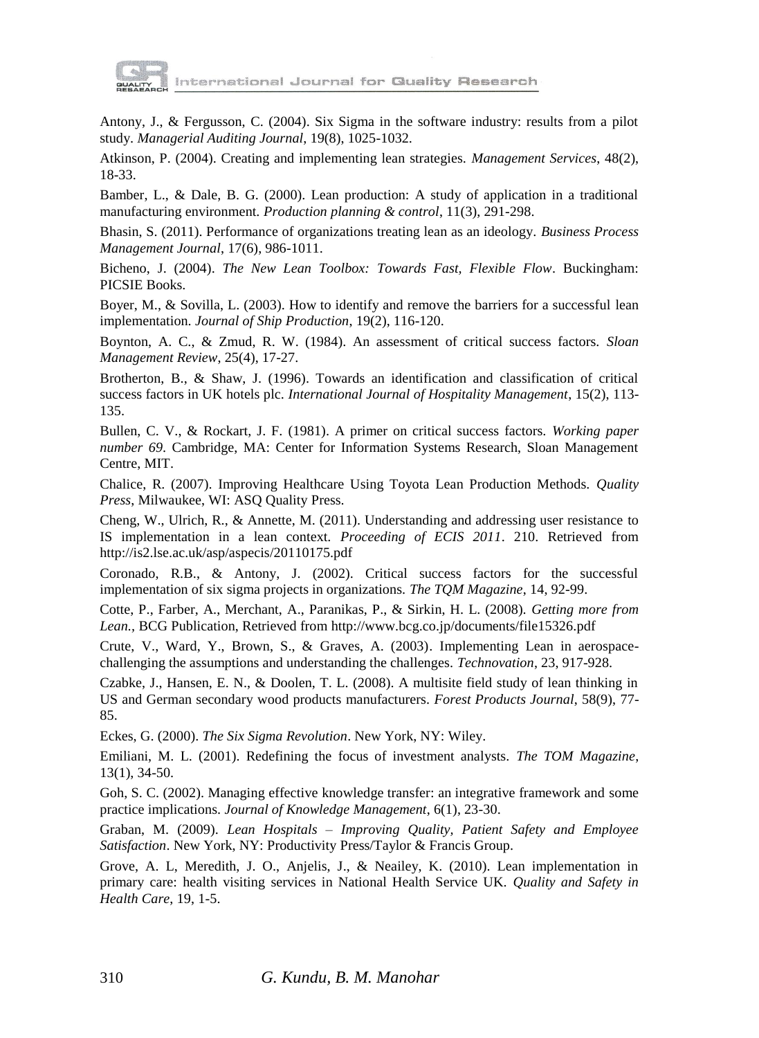

Antony, J., & Fergusson, C. (2004). Six Sigma in the software industry: results from a pilot study. *Managerial Auditing Journal*, 19(8), 1025-1032.

Atkinson, P. (2004). Creating and implementing lean strategies. *Management Services*, 48(2), 18-33.

Bamber, L., & Dale, B. G. (2000). Lean production: A study of application in a traditional manufacturing environment. *Production planning & control*, 11(3), 291-298.

Bhasin, S. (2011). Performance of organizations treating lean as an ideology. *Business Process Management Journal*, 17(6), 986-1011.

Bicheno, J. (2004). *The New Lean Toolbox: Towards Fast, Flexible Flow*. Buckingham: PICSIE Books.

Boyer, M., & Sovilla, L. (2003). How to identify and remove the barriers for a successful lean implementation. *Journal of Ship Production*, 19(2), 116-120.

Boynton, A. C., & Zmud, R. W. (1984). An assessment of critical success factors. *Sloan Management Review*, 25(4), 17-27.

Brotherton, B., & Shaw, J. (1996). Towards an identification and classification of critical success factors in UK hotels plc. *International Journal of Hospitality Management*, 15(2), 113- 135.

Bullen, C. V., & Rockart, J. F. (1981). A primer on critical success factors. *Working paper number 69*. Cambridge, MA: Center for Information Systems Research, Sloan Management Centre, MIT.

Chalice, R. (2007). Improving Healthcare Using Toyota Lean Production Methods. *Quality Press*, Milwaukee, WI: ASQ Quality Press.

Cheng, W., Ulrich, R., & Annette, M. (2011). Understanding and addressing user resistance to IS implementation in a lean context. *Proceeding of ECIS 2011*. 210. Retrieved from <http://is2.lse.ac.uk/asp/aspecis/20110175.pdf>

Coronado, R.B., & Antony, J. (2002). Critical success factors for the successful implementation of six sigma projects in organizations. *The TQM Magazine*, 14, 92-99.

Cotte, P., Farber, A., Merchant, A., Paranikas, P., & Sirkin, H. L. (2008). *Getting more from Lean.,* BCG Publication, Retrieved from<http://www.bcg.co.jp/documents/file15326.pdf>

Crute, V., Ward, Y., Brown, S., & Graves, A. (2003). Implementing Lean in aerospacechallenging the assumptions and understanding the challenges. *Technovation*, 23, 917-928.

Czabke, J., Hansen, E. N., & Doolen, T. L. (2008). A multisite field study of lean thinking in US and German secondary wood products manufacturers. *Forest Products Journal*, 58(9), 77- 85.

Eckes, G. (2000). *The Six Sigma Revolution*. New York, NY: Wiley.

Emiliani, M. L. (2001). Redefining the focus of investment analysts. *The TOM Magazine*, 13(1), 34-50.

Goh, S. C. (2002). Managing effective knowledge transfer: an integrative framework and some practice implications. *Journal of Knowledge Management*, 6(1), 23-30.

Graban, M. (2009). *Lean Hospitals – Improving Quality, Patient Safety and Employee Satisfaction*. New York, NY: Productivity Press/Taylor & Francis Group.

Grove, A. L, Meredith, J. O., Anjelis, J., & Neailey, K. (2010). Lean implementation in primary care: health visiting services in National Health Service UK. *Quality and Safety in Health Care*, 19, 1-5.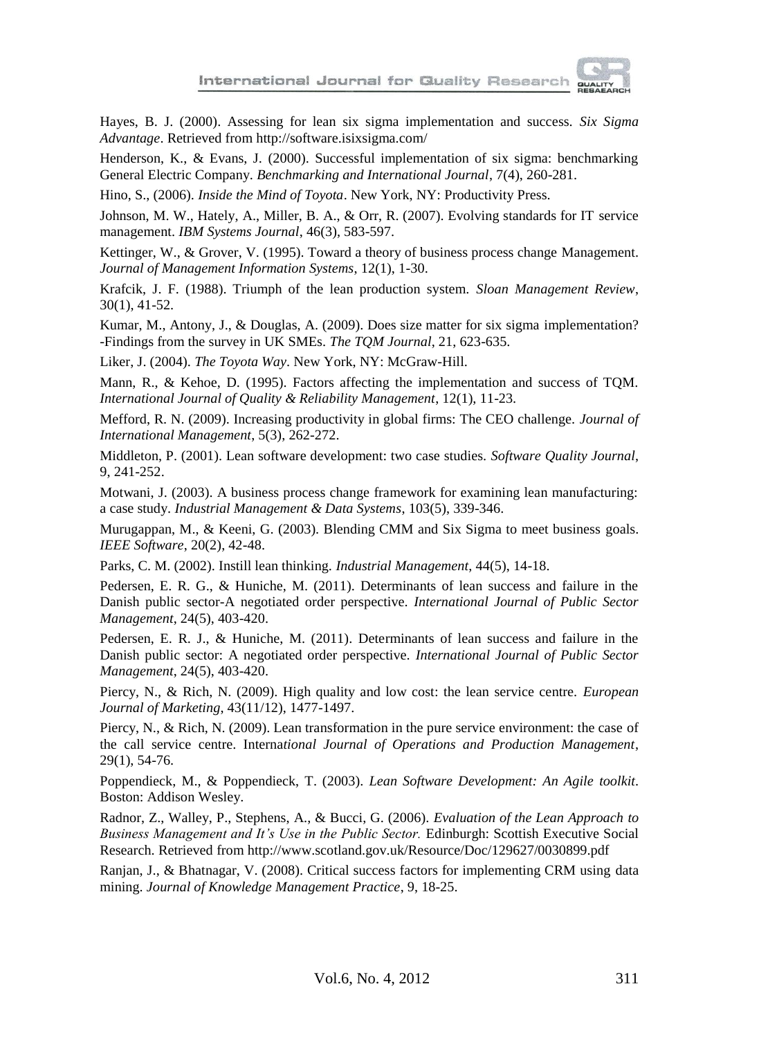

Hayes, B. J. (2000). Assessing for lean six sigma implementation and success. *Six Sigma Advantage*. Retrieved from http://software.isixsigma.com/

Henderson, K., & Evans, J. (2000). Successful implementation of six sigma: benchmarking General Electric Company. *Benchmarking and International Journal*, 7(4), 260-281.

Hino, S., (2006). *Inside the Mind of Toyota*. New York, NY: Productivity Press.

Johnson, M. W., Hately, A., Miller, B. A., & Orr, R. (2007). Evolving standards for IT service management. *IBM Systems Journal*, 46(3), 583-597.

Kettinger, W., & Grover, V. (1995). Toward a theory of business process change Management. *Journal of Management Information Systems*, 12(1), 1-30.

Krafcik, J. F. (1988). Triumph of the lean production system. *Sloan Management Review*, 30(1), 41-52.

Kumar, M., Antony, J., & Douglas, A. (2009). Does size matter for six sigma implementation? -Findings from the survey in UK SMEs. *The TQM Journal*, 21, 623-635.

Liker, J. (2004). *The Toyota Way*. New York, NY: McGraw-Hill.

Mann, R., & Kehoe, D. (1995). Factors affecting the implementation and success of TQM. *International Journal of Quality & Reliability Management*, 12(1), 11-23.

Mefford, R. N. (2009). Increasing productivity in global firms: The CEO challenge. *Journal of International Management*, 5(3), 262-272.

Middleton, P. (2001). Lean software development: two case studies. *Software Quality Journal*, 9, 241-252.

Motwani, J. (2003). A business process change framework for examining lean manufacturing: a case study. *Industrial Management & Data Systems*, 103(5), 339-346.

Murugappan, M., & Keeni, G. (2003). Blending CMM and Six Sigma to meet business goals. *IEEE Software*, 20(2), 42-48.

Parks, C. M. (2002). Instill lean thinking. *Industrial Management*, 44(5), 14-18.

Pedersen, E. R. G., & Huniche, M. (2011). Determinants of lean success and failure in the Danish public sector-A negotiated order perspective. *International Journal of Public Sector Management*, 24(5), 403-420.

Pedersen, E. R. J., & Huniche, M. (2011). Determinants of lean success and failure in the Danish public sector: A negotiated order perspective. *International Journal of Public Sector Management*, 24(5), 403-420.

Piercy, N., & Rich, N. (2009). High quality and low cost: the lean service centre. *European Journal of Marketing*, 43(11/12), 1477-1497.

Piercy, N., & Rich, N. (2009). Lean transformation in the pure service environment: the case of the call service centre. Interna*tional Journal of Operations and Production Management*, 29(1), 54-76.

Poppendieck, M., & Poppendieck, T. (2003). *Lean Software Development: An Agile toolkit*. Boston: Addison Wesley.

Radnor, Z., Walley, P., Stephens, A., & Bucci, G. (2006). *Evaluation of the Lean Approach to Business Management and It's Use in the Public Sector.* Edinburgh: Scottish Executive Social Research. Retrieved from http://www.scotland.gov.uk/Resource/Doc/129627/0030899.pdf

Ranjan, J., & Bhatnagar, V. (2008). Critical success factors for implementing CRM using data mining. *Journal of Knowledge Management Practice*, 9, 18-25.